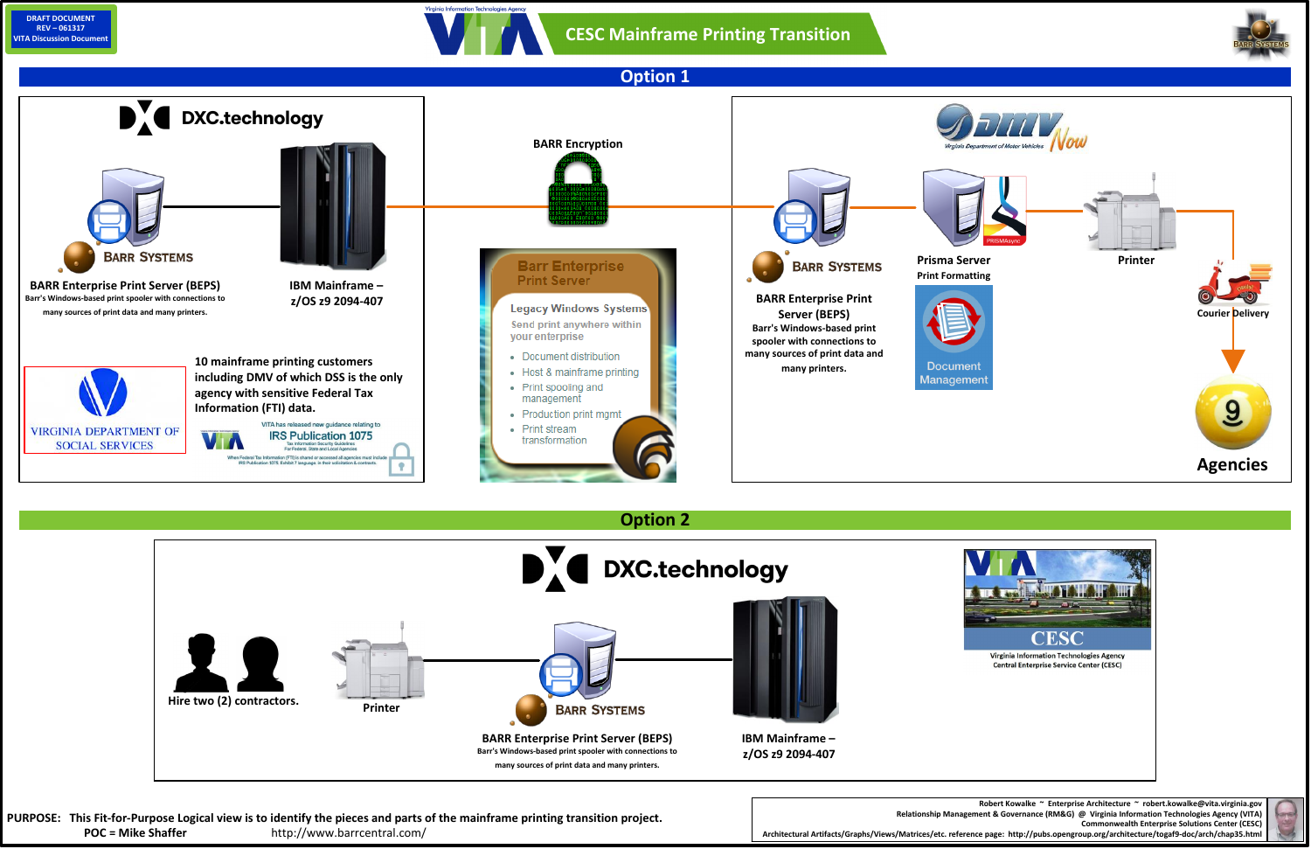**Robert Kowalke ~ Enterprise Architecture ~ robert.kowalke@vita.virginia.gov Commonwealth Enterprise Solutions Center (CESC)**

**Relationship Management & Governance (RM&G) @ Virginia Information Technologies Agency (VITA) Architectural Artifacts/Graphs/Views/Matrices/etc. reference page: http://pubs.opengroup.org/architecture/togaf9-doc/arch/chap35.html**







PURPOSE: This Fit-for-Purpose Logical view is to identify the pieces and parts of the mainframe printing transition project. **POC = Mike Shaffer** http://www.barrcentral.com/